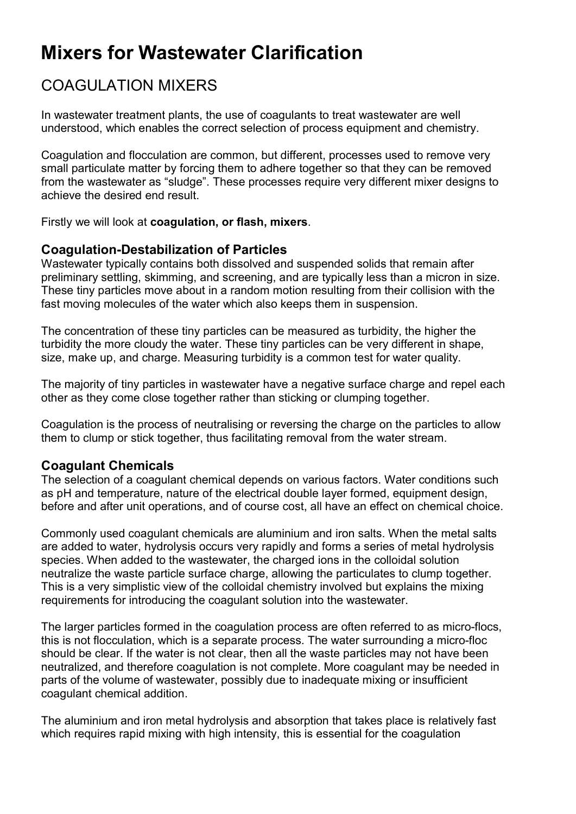# Mixers for Wastewater Clarification

## COAGULATION MIXERS

In wastewater treatment plants, the use of coagulants to treat wastewater are well understood, which enables the correct selection of process equipment and chemistry.

Coagulation and flocculation are common, but different, processes used to remove very small particulate matter by forcing them to adhere together so that they can be removed from the wastewater as "sludge". These processes require very different mixer designs to achieve the desired end result.

Firstly we will look at coagulation, or flash, mixers.

## Coagulation-Destabilization of Particles

Wastewater typically contains both dissolved and suspended solids that remain after preliminary settling, skimming, and screening, and are typically less than a micron in size. These tiny particles move about in a random motion resulting from their collision with the fast moving molecules of the water which also keeps them in suspension.

The concentration of these tiny particles can be measured as turbidity, the higher the turbidity the more cloudy the water. These tiny particles can be very different in shape, size, make up, and charge. Measuring turbidity is a common test for water quality.

The majority of tiny particles in wastewater have a negative surface charge and repel each other as they come close together rather than sticking or clumping together.

Coagulation is the process of neutralising or reversing the charge on the particles to allow them to clump or stick together, thus facilitating removal from the water stream.

## Coagulant Chemicals

The selection of a coagulant chemical depends on various factors. Water conditions such as pH and temperature, nature of the electrical double layer formed, equipment design, before and after unit operations, and of course cost, all have an effect on chemical choice.

Commonly used coagulant chemicals are aluminium and iron salts. When the metal salts are added to water, hydrolysis occurs very rapidly and forms a series of metal hydrolysis species. When added to the wastewater, the charged ions in the colloidal solution neutralize the waste particle surface charge, allowing the particulates to clump together. This is a very simplistic view of the colloidal chemistry involved but explains the mixing requirements for introducing the coagulant solution into the wastewater.

The larger particles formed in the coagulation process are often referred to as micro-flocs, this is not flocculation, which is a separate process. The water surrounding a micro-floc should be clear. If the water is not clear, then all the waste particles may not have been neutralized, and therefore coagulation is not complete. More coagulant may be needed in parts of the volume of wastewater, possibly due to inadequate mixing or insufficient coagulant chemical addition.

The aluminium and iron metal hydrolysis and absorption that takes place is relatively fast which requires rapid mixing with high intensity, this is essential for the coagulation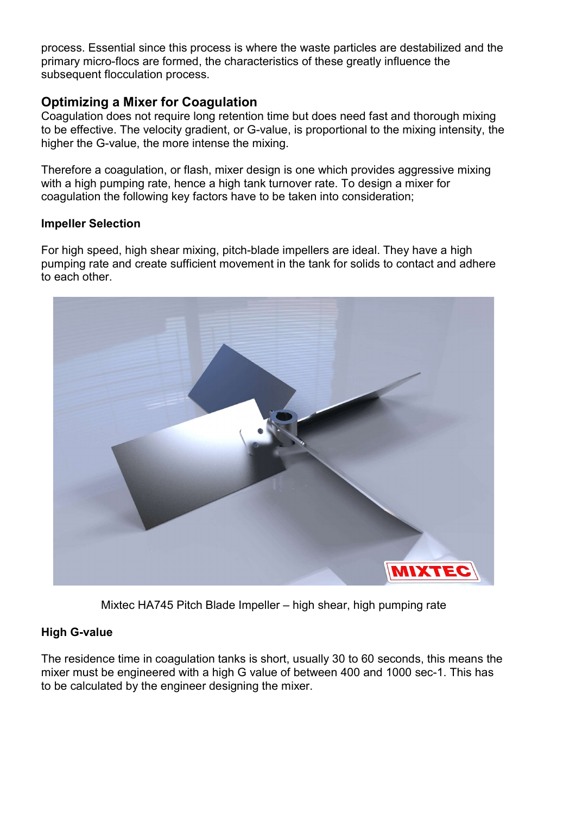process. Essential since this process is where the waste particles are destabilized and the primary micro-flocs are formed, the characteristics of these greatly influence the subsequent flocculation process.

## Optimizing a Mixer for Coagulation

Coagulation does not require long retention time but does need fast and thorough mixing to be effective. The velocity gradient, or G-value, is proportional to the mixing intensity, the higher the G-value, the more intense the mixing.

Therefore a coagulation, or flash, mixer design is one which provides aggressive mixing with a high pumping rate, hence a high tank turnover rate. To design a mixer for coagulation the following key factors have to be taken into consideration;

#### Impeller Selection

For high speed, high shear mixing, pitch-blade impellers are ideal. They have a high pumping rate and create sufficient movement in the tank for solids to contact and adhere to each other.



Mixtec HA745 Pitch Blade Impeller – high shear, high pumping rate

#### High G-value

The residence time in coagulation tanks is short, usually 30 to 60 seconds, this means the mixer must be engineered with a high G value of between 400 and 1000 sec-1. This has to be calculated by the engineer designing the mixer.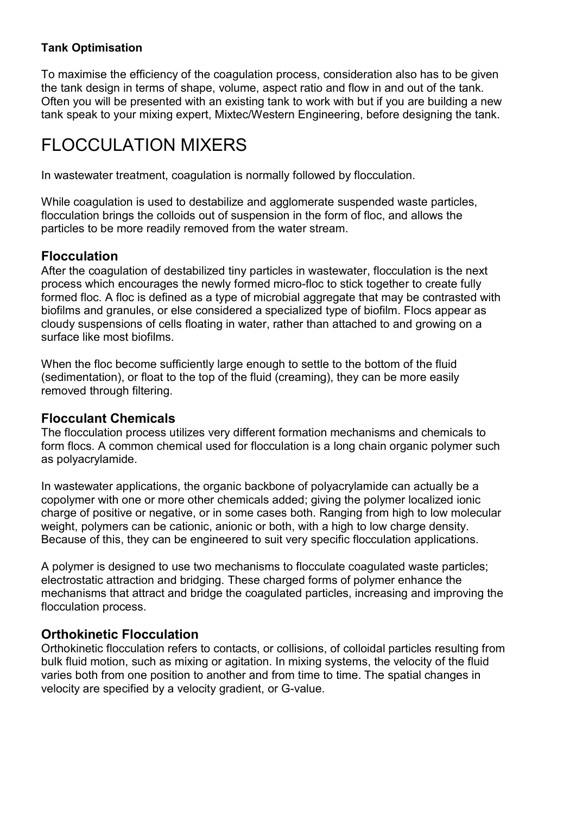#### Tank Optimisation

To maximise the efficiency of the coagulation process, consideration also has to be given the tank design in terms of shape, volume, aspect ratio and flow in and out of the tank. Often you will be presented with an existing tank to work with but if you are building a new tank speak to your mixing expert, Mixtec/Western Engineering, before designing the tank.

## FLOCCULATION MIXERS

In wastewater treatment, coagulation is normally followed by flocculation.

While coagulation is used to destabilize and agglomerate suspended waste particles, flocculation brings the colloids out of suspension in the form of floc, and allows the particles to be more readily removed from the water stream.

#### Flocculation

After the coagulation of destabilized tiny particles in wastewater, flocculation is the next process which encourages the newly formed micro-floc to stick together to create fully formed floc. A floc is defined as a type of microbial aggregate that may be contrasted with biofilms and granules, or else considered a specialized type of biofilm. Flocs appear as cloudy suspensions of cells floating in water, rather than attached to and growing on a surface like most biofilms.

When the floc become sufficiently large enough to settle to the bottom of the fluid (sedimentation), or float to the top of the fluid (creaming), they can be more easily removed through filtering.

## Flocculant Chemicals

The flocculation process utilizes very different formation mechanisms and chemicals to form flocs. A common chemical used for flocculation is a long chain organic polymer such as polyacrylamide.

In wastewater applications, the organic backbone of polyacrylamide can actually be a copolymer with one or more other chemicals added; giving the polymer localized ionic charge of positive or negative, or in some cases both. Ranging from high to low molecular weight, polymers can be cationic, anionic or both, with a high to low charge density. Because of this, they can be engineered to suit very specific flocculation applications.

A polymer is designed to use two mechanisms to flocculate coagulated waste particles; electrostatic attraction and bridging. These charged forms of polymer enhance the mechanisms that attract and bridge the coagulated particles, increasing and improving the flocculation process.

## Orthokinetic Flocculation

Orthokinetic flocculation refers to contacts, or collisions, of colloidal particles resulting from bulk fluid motion, such as mixing or agitation. In mixing systems, the velocity of the fluid varies both from one position to another and from time to time. The spatial changes in velocity are specified by a velocity gradient, or G-value.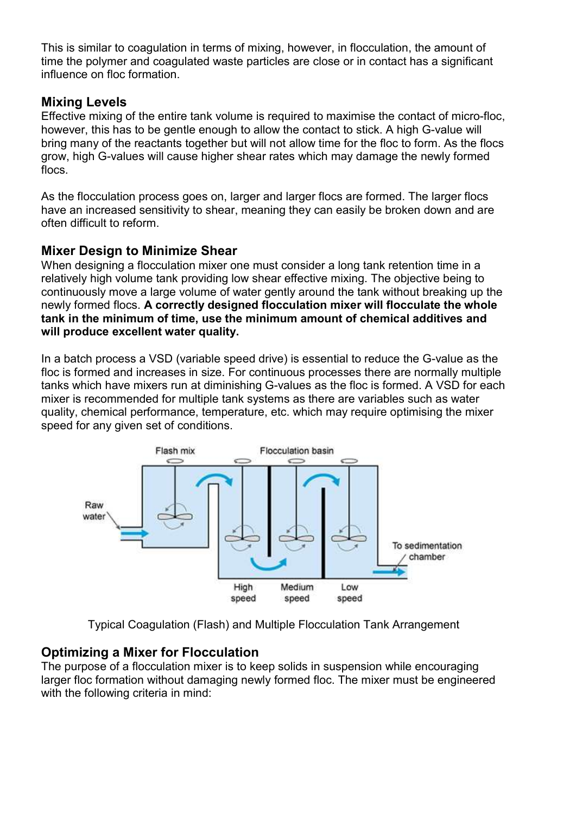This is similar to coagulation in terms of mixing, however, in flocculation, the amount of time the polymer and coagulated waste particles are close or in contact has a significant influence on floc formation.

## Mixing Levels

Effective mixing of the entire tank volume is required to maximise the contact of micro-floc, however, this has to be gentle enough to allow the contact to stick. A high G-value will bring many of the reactants together but will not allow time for the floc to form. As the flocs grow, high G-values will cause higher shear rates which may damage the newly formed flocs.

As the flocculation process goes on, larger and larger flocs are formed. The larger flocs have an increased sensitivity to shear, meaning they can easily be broken down and are often difficult to reform.

#### Mixer Design to Minimize Shear

When designing a flocculation mixer one must consider a long tank retention time in a relatively high volume tank providing low shear effective mixing. The objective being to continuously move a large volume of water gently around the tank without breaking up the newly formed flocs. A correctly designed flocculation mixer will flocculate the whole tank in the minimum of time, use the minimum amount of chemical additives and will produce excellent water quality.

In a batch process a VSD (variable speed drive) is essential to reduce the G-value as the floc is formed and increases in size. For continuous processes there are normally multiple tanks which have mixers run at diminishing G-values as the floc is formed. A VSD for each mixer is recommended for multiple tank systems as there are variables such as water quality, chemical performance, temperature, etc. which may require optimising the mixer speed for any given set of conditions.



Typical Coagulation (Flash) and Multiple Flocculation Tank Arrangement

## Optimizing a Mixer for Flocculation

The purpose of a flocculation mixer is to keep solids in suspension while encouraging larger floc formation without damaging newly formed floc. The mixer must be engineered with the following criteria in mind: